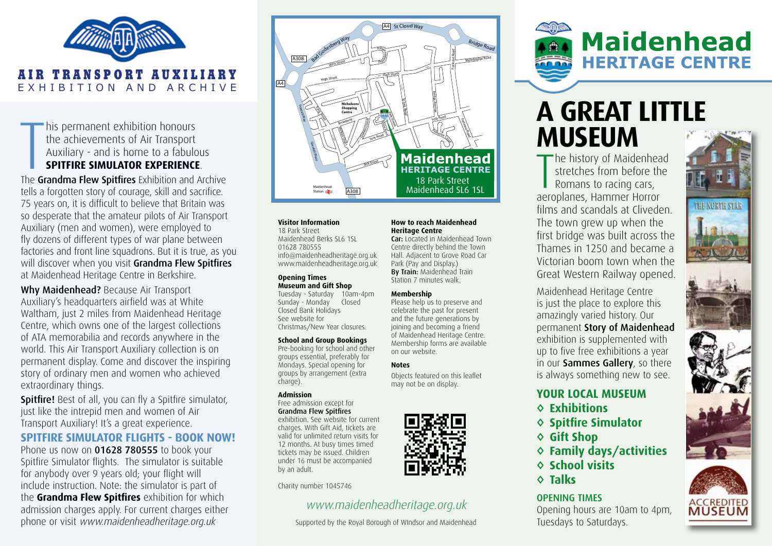

his permanent exhibition honours<br>the achievements of Air Transport<br>Auxiliary - and is home to a fabulous<br>**SPITFIRE SIMULATOR EXPERIENCE**.<br>The **Grandma Flew Spitfires** Exhibition and Archive his permanent exhibition honours the achievements of Air Transport Auxiliary - and is home to a fabulous **SPITFIRE SIMULATOR EXPERIENCE**.

tells a forgotten story of courage, skill and sacrifice. 75 years on, it is difficult to believe that Britain was so desperate that the amateur pilots of Air Transport Auxiliary (men and women), were employed to fly dozens of different types of war plane between factories and front line squadrons. But it is true, as you will discover when you visit Grandma Flew Spitfires at Maidenhead Heritage Centre in Berkshire.

Why Maidenhead? Because Air Transport Auxiliary's headquarters airfield was at White Waltham, just 2 miles from Maidenhead Heritage Centre, which owns one of the largest collections of ATA memorabilia and records anywhere in the world. This Air Transport Auxiliary collection is on permanent display. Come and discover the inspiring story of ordinary men and women who achieved extraordinary things.

**Spitfire!** Best of all, you can fly a Spitfire simulator, just like the intrepid men and women of Air Transport Auxiliary! It's a great experience.

### **SPITFIRE SIMULATOR FLIGHTS - BOOK NOW!**

Phone us now on 01628 780555 to book your Spitfire Simulator flights. The simulator is suitable for anybody over 9 years old; your flight will include instruction. Note: the simulator is part of the **Grandma Flew Spitfires** exhibition for which admission charges apply. For current charges either phone or visit www.maidenheadheritage.org.uk



**How to reach Maidenhead** 

**Car:** Located in Maidenhead Town Centre directly behind the Town Hall. Adjacent to Grove Road Car Park (Pay and Display.) **By Train: Maidenhead Train** Station 7 minutes walk.

Please help us to preserve and celebrate the past for present and the future generations by joining and becoming a friend of Maidenhead Heritage Centre. Membership forms are available

Objects featured on this leaflet may not be on display.

**Heritage Centre**

**Membership**

on our website.

**Notes**

### **Visitor Information**

18 Park Street Maidenhead Berks SL6 1SL 01628 780555 info@maidenheadheritage.org.uk www.maidenheadheritage.org.uk

#### **Opening Times Museum and Gift Shop**

Tuesday - Saturday 10am-4pm Sunday - Monday Closed Closed Bank Holidays See website for Christmas/New Year closures.

### **School and Group Bookings**

Pre-booking for school and other groups essential, preferably for Mondays. Special opening for groups by arrangement (extra charge).

### **Admission**

Free admission except for Grandma Flew Spitfires

exhibition. See website for current charges. With Gift Aid, tickets are valid for unlimited return visits for 12 months. At busy times timed tickets may be issued. Children under 16 must be accompanied by an adult.

Charity number 1045746

### www.maidenheadheritage.org.uk

Supported by the Royal Borough of WIndsor and Maidenhead

# **Maidenhead HERITAGE CENTRE**

## **A GREAT LITTLE MUSEUM**

The history of Maidenhead<br>stretches from before the<br>Romans to racing cars, stretches from before the Romans to racing cars, aeroplanes, Hammer Horror films and scandals at Cliveden. The town grew up when the first bridge was built across the Thames in 1250 and became a Victorian boom town when the Great Western Railway opened.

Maidenhead Heritage Centre is just the place to explore this amazingly varied history. Our permanent Story of Maidenhead exhibition is supplemented with up to five free exhibitions a year in our Sammes Gallery, so there is always something new to see.

### **YOUR LOCAL MUSEUM**

- **◊ Exhibitions**
- **◊ Spitfire Simulator**
- **◊ Gift Shop**
- **◊ Family days/activities**
- **◊ School visits**
- **◊ Talks**

### OPENING TIMES

Opening hours are 10am to 4pm, Tuesdays to Saturdays.